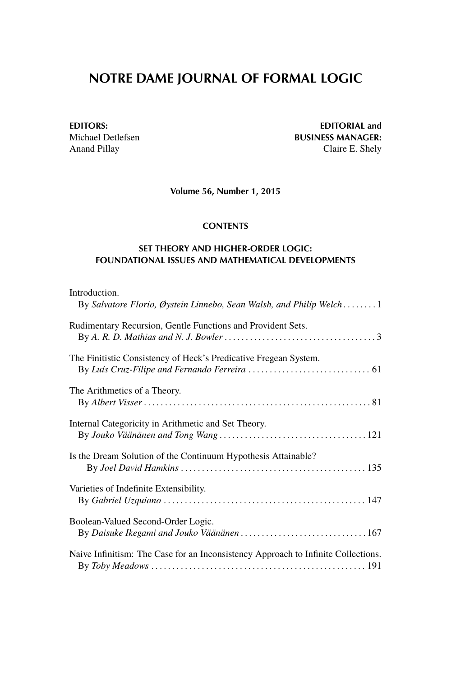## **NOTRE DAME JOURNAL OF FORMAL LOGIC**

**EDITORS:** EDITORIAL and<br>Michael Detlefsen Michael Settlefsen BUSINESS MANAGER: Michael Detlefsen **BUSINESS MANAGER:**<br>Anand Pillay **Claire E. Shely** Claire E. Shely

**Volume 56, Number 1, 2015**

## **CONTENTS**

## **SET THEORY AND HIGHER-ORDER LOGIC: FOUNDATIONAL ISSUES AND MATHEMATICAL DEVELOPMENTS**

| Introduction.                                                                     |
|-----------------------------------------------------------------------------------|
| By Salvatore Florio, Øystein Linnebo, Sean Walsh, and Philip Welch 1              |
| Rudimentary Recursion, Gentle Functions and Provident Sets.                       |
| The Finitistic Consistency of Heck's Predicative Fregean System.                  |
| The Arithmetics of a Theory.                                                      |
| Internal Categoricity in Arithmetic and Set Theory.                               |
| Is the Dream Solution of the Continuum Hypothesis Attainable?                     |
| Varieties of Indefinite Extensibility.                                            |
| Boolean-Valued Second-Order Logic.                                                |
| Naive Infinitism: The Case for an Inconsistency Approach to Infinite Collections. |